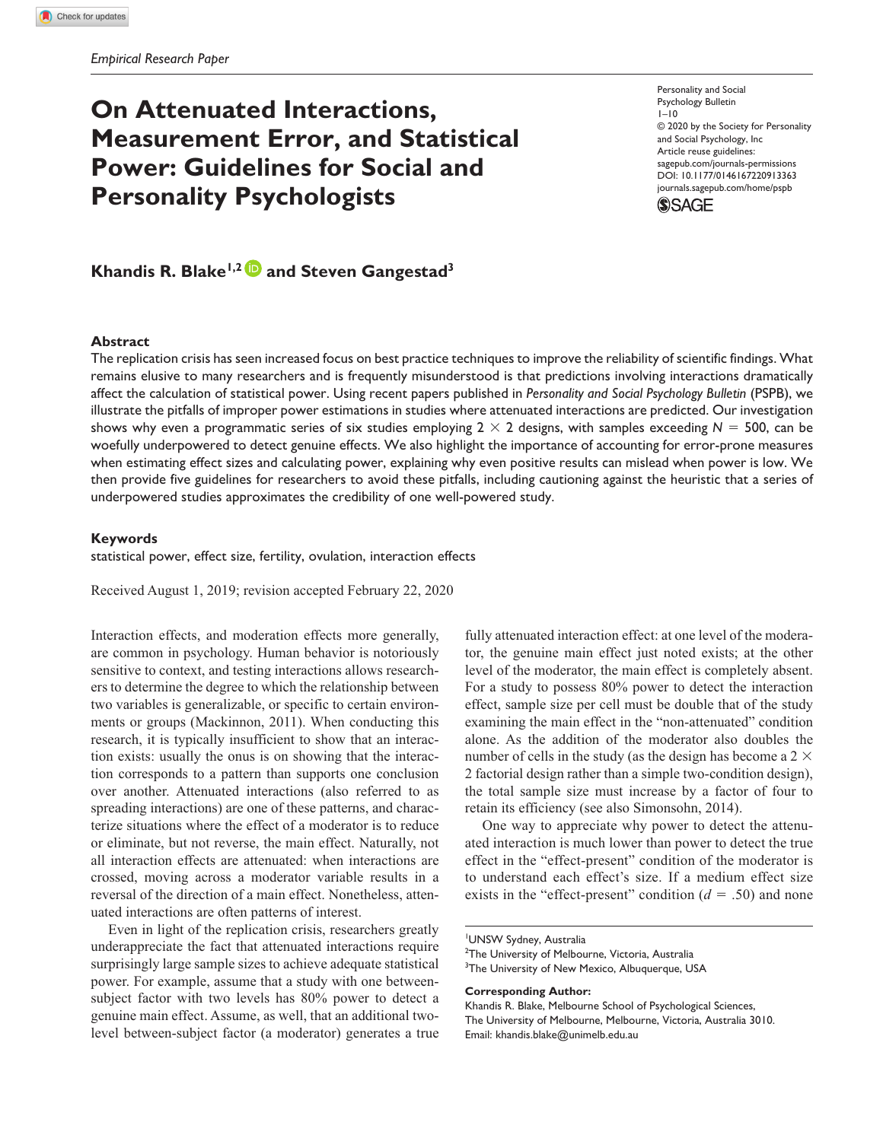# **On Attenuated Interactions, Measurement Error, and Statistical Power: Guidelines for Social and Personality Psychologists**

Personality and Social Psychology Bulletin  $1 - 10$ © 2020 by the Society for Personality and Social Psychology, Inc Article reuse guidelines: [sagepub.com/journals-permissions](https://us.sagepub.com/en-us/journals-permissions) https://doi.org/10.1177/0146167220913363 DOI: 10.1177/0146167220913363 [journals.sagepub.com/home/pspb](http://journals.sagepub.com/home/pspb) **SSAGE** 

# **Khandis R. Blake<sup>1,2</sup> and Steven Gangestad<sup>3</sup>**

#### **Abstract**

The replication crisis has seen increased focus on best practice techniques to improve the reliability of scientific findings. What remains elusive to many researchers and is frequently misunderstood is that predictions involving interactions dramatically affect the calculation of statistical power. Using recent papers published in *Personality and Social Psychology Bulletin* (PSPB), we illustrate the pitfalls of improper power estimations in studies where attenuated interactions are predicted. Our investigation shows why even a programmatic series of six studies employing  $2 \times 2$  designs, with samples exceeding  $N = 500$ , can be woefully underpowered to detect genuine effects. We also highlight the importance of accounting for error-prone measures when estimating effect sizes and calculating power, explaining why even positive results can mislead when power is low. We then provide five guidelines for researchers to avoid these pitfalls, including cautioning against the heuristic that a series of underpowered studies approximates the credibility of one well-powered study.

#### **Keywords**

statistical power, effect size, fertility, ovulation, interaction effects

Received August 1, 2019; revision accepted February 22, 2020

Interaction effects, and moderation effects more generally, are common in psychology. Human behavior is notoriously sensitive to context, and testing interactions allows researchers to determine the degree to which the relationship between two variables is generalizable, or specific to certain environments or groups (Mackinnon, 2011). When conducting this research, it is typically insufficient to show that an interaction exists: usually the onus is on showing that the interaction corresponds to a pattern than supports one conclusion over another. Attenuated interactions (also referred to as spreading interactions) are one of these patterns, and characterize situations where the effect of a moderator is to reduce or eliminate, but not reverse, the main effect. Naturally, not all interaction effects are attenuated: when interactions are crossed, moving across a moderator variable results in a reversal of the direction of a main effect. Nonetheless, attenuated interactions are often patterns of interest.

Even in light of the replication crisis, researchers greatly underappreciate the fact that attenuated interactions require surprisingly large sample sizes to achieve adequate statistical power. For example, assume that a study with one betweensubject factor with two levels has 80% power to detect a genuine main effect. Assume, as well, that an additional twolevel between-subject factor (a moderator) generates a true fully attenuated interaction effect: at one level of the moderator, the genuine main effect just noted exists; at the other level of the moderator, the main effect is completely absent. For a study to possess 80% power to detect the interaction effect, sample size per cell must be double that of the study examining the main effect in the "non-attenuated" condition alone. As the addition of the moderator also doubles the number of cells in the study (as the design has become a  $2 \times$ 2 factorial design rather than a simple two-condition design), the total sample size must increase by a factor of four to retain its efficiency (see also Simonsohn, 2014).

One way to appreciate why power to detect the attenuated interaction is much lower than power to detect the true effect in the "effect-present" condition of the moderator is to understand each effect's size. If a medium effect size exists in the "effect-present" condition  $(d = .50)$  and none

#### **Corresponding Author:**

<sup>1</sup> UNSW Sydney, Australia

<sup>&</sup>lt;sup>2</sup>The University of Melbourne, Victoria, Australia <sup>3</sup>The University of New Mexico, Albuquerque, USA

Khandis R. Blake, Melbourne School of Psychological Sciences, The University of Melbourne, Melbourne, Victoria, Australia 3010. Email: [khandis.blake@unimelb.edu.au](mailto:khandis.blake@unimelb.edu.au)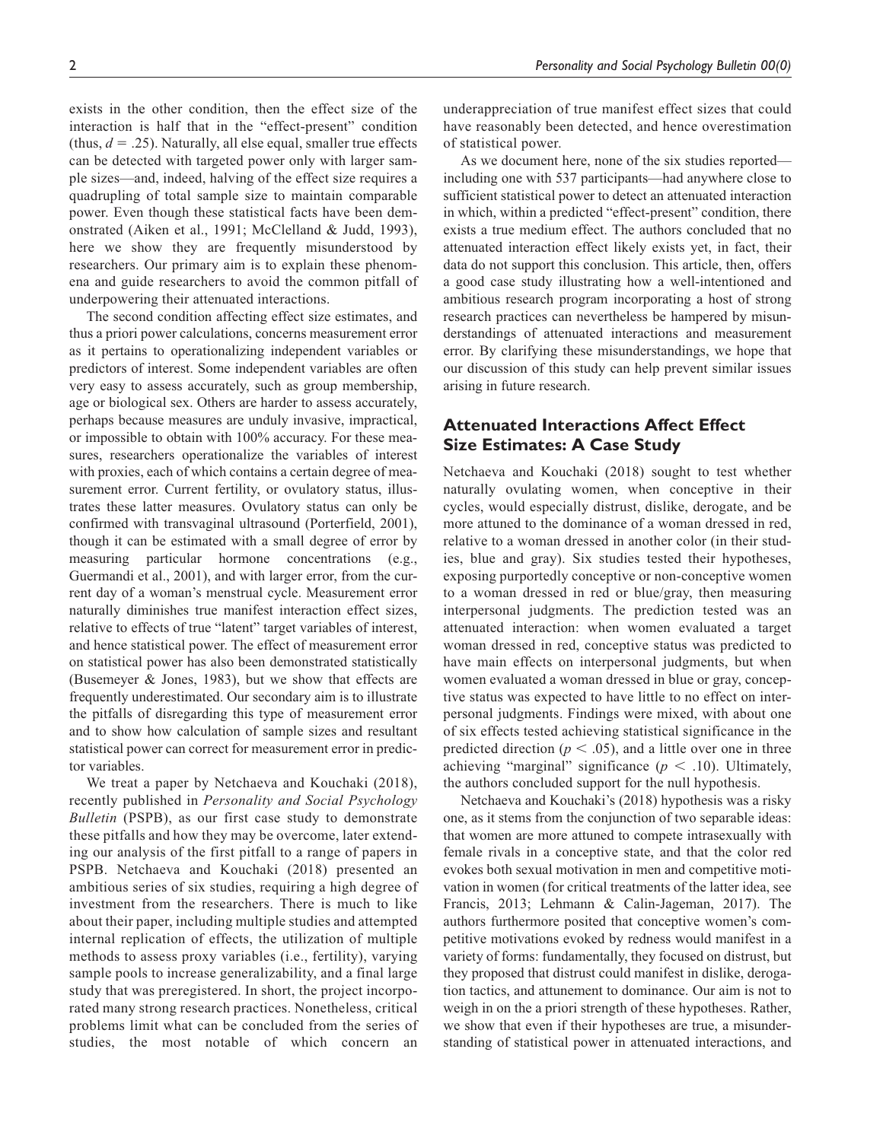exists in the other condition, then the effect size of the interaction is half that in the "effect-present" condition (thus,  $d = .25$ ). Naturally, all else equal, smaller true effects can be detected with targeted power only with larger sample sizes—and, indeed, halving of the effect size requires a quadrupling of total sample size to maintain comparable power. Even though these statistical facts have been demonstrated (Aiken et al., 1991; McClelland & Judd, 1993), here we show they are frequently misunderstood by researchers. Our primary aim is to explain these phenomena and guide researchers to avoid the common pitfall of underpowering their attenuated interactions.

The second condition affecting effect size estimates, and thus a priori power calculations, concerns measurement error as it pertains to operationalizing independent variables or predictors of interest. Some independent variables are often very easy to assess accurately, such as group membership, age or biological sex. Others are harder to assess accurately, perhaps because measures are unduly invasive, impractical, or impossible to obtain with 100% accuracy. For these measures, researchers operationalize the variables of interest with proxies, each of which contains a certain degree of measurement error. Current fertility, or ovulatory status, illustrates these latter measures. Ovulatory status can only be confirmed with transvaginal ultrasound (Porterfield, 2001), though it can be estimated with a small degree of error by measuring particular hormone concentrations (e.g., Guermandi et al., 2001), and with larger error, from the current day of a woman's menstrual cycle. Measurement error naturally diminishes true manifest interaction effect sizes, relative to effects of true "latent" target variables of interest, and hence statistical power. The effect of measurement error on statistical power has also been demonstrated statistically (Busemeyer & Jones, 1983), but we show that effects are frequently underestimated. Our secondary aim is to illustrate the pitfalls of disregarding this type of measurement error and to show how calculation of sample sizes and resultant statistical power can correct for measurement error in predictor variables.

We treat a paper by Netchaeva and Kouchaki (2018), recently published in *Personality and Social Psychology Bulletin* (PSPB), as our first case study to demonstrate these pitfalls and how they may be overcome, later extending our analysis of the first pitfall to a range of papers in PSPB. Netchaeva and Kouchaki (2018) presented an ambitious series of six studies, requiring a high degree of investment from the researchers. There is much to like about their paper, including multiple studies and attempted internal replication of effects, the utilization of multiple methods to assess proxy variables (i.e., fertility), varying sample pools to increase generalizability, and a final large study that was preregistered. In short, the project incorporated many strong research practices. Nonetheless, critical problems limit what can be concluded from the series of studies, the most notable of which concern an

underappreciation of true manifest effect sizes that could have reasonably been detected, and hence overestimation of statistical power.

As we document here, none of the six studies reported including one with 537 participants—had anywhere close to sufficient statistical power to detect an attenuated interaction in which, within a predicted "effect-present" condition, there exists a true medium effect. The authors concluded that no attenuated interaction effect likely exists yet, in fact, their data do not support this conclusion. This article, then, offers a good case study illustrating how a well-intentioned and ambitious research program incorporating a host of strong research practices can nevertheless be hampered by misunderstandings of attenuated interactions and measurement error. By clarifying these misunderstandings, we hope that our discussion of this study can help prevent similar issues arising in future research.

### **Attenuated Interactions Affect Effect Size Estimates: A Case Study**

Netchaeva and Kouchaki (2018) sought to test whether naturally ovulating women, when conceptive in their cycles, would especially distrust, dislike, derogate, and be more attuned to the dominance of a woman dressed in red, relative to a woman dressed in another color (in their studies, blue and gray). Six studies tested their hypotheses, exposing purportedly conceptive or non-conceptive women to a woman dressed in red or blue/gray, then measuring interpersonal judgments. The prediction tested was an attenuated interaction: when women evaluated a target woman dressed in red, conceptive status was predicted to have main effects on interpersonal judgments, but when women evaluated a woman dressed in blue or gray, conceptive status was expected to have little to no effect on interpersonal judgments. Findings were mixed, with about one of six effects tested achieving statistical significance in the predicted direction ( $p < .05$ ), and a little over one in three achieving "marginal" significance ( $p < .10$ ). Ultimately, the authors concluded support for the null hypothesis.

Netchaeva and Kouchaki's (2018) hypothesis was a risky one, as it stems from the conjunction of two separable ideas: that women are more attuned to compete intrasexually with female rivals in a conceptive state, and that the color red evokes both sexual motivation in men and competitive motivation in women (for critical treatments of the latter idea, see Francis, 2013; Lehmann & Calin-Jageman, 2017). The authors furthermore posited that conceptive women's competitive motivations evoked by redness would manifest in a variety of forms: fundamentally, they focused on distrust, but they proposed that distrust could manifest in dislike, derogation tactics, and attunement to dominance. Our aim is not to weigh in on the a priori strength of these hypotheses. Rather, we show that even if their hypotheses are true, a misunderstanding of statistical power in attenuated interactions, and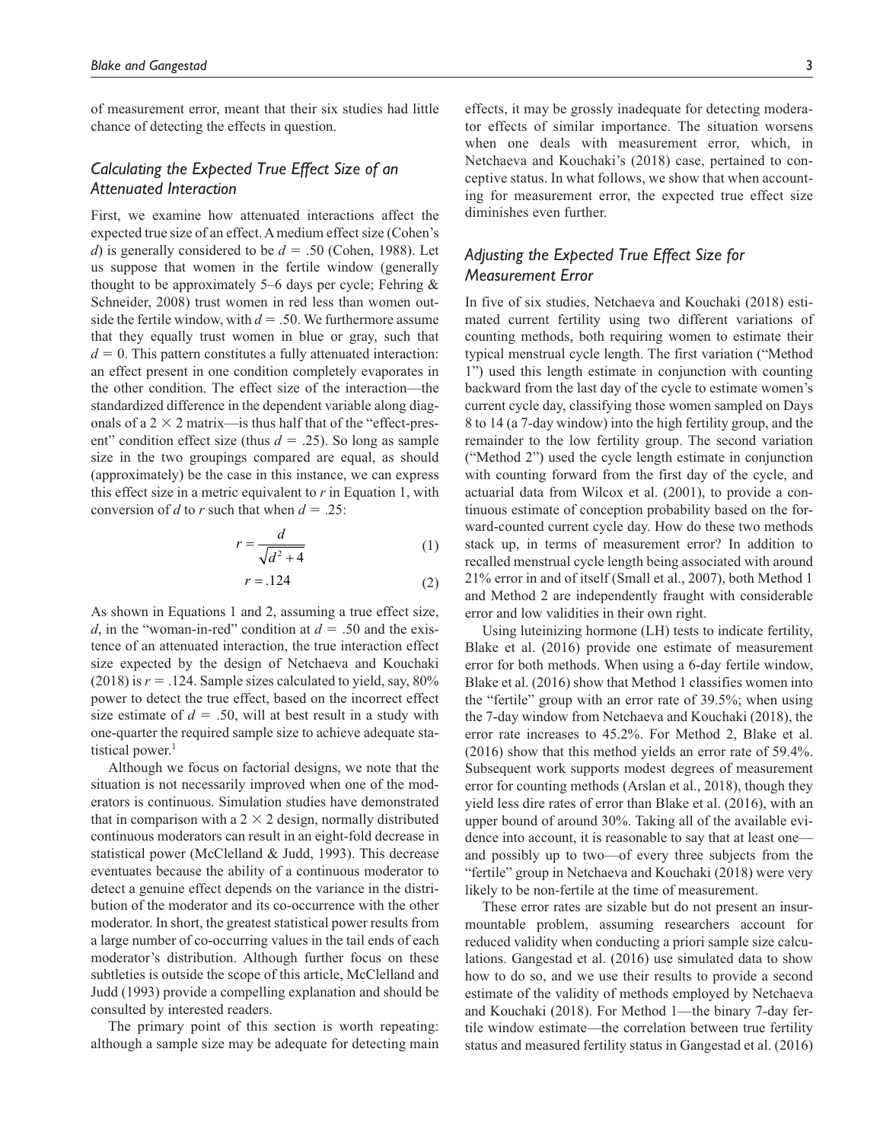of measurement error, meant that their six studies had little chance of detecting the effects in question.

### *Calculating the Expected True Effect Size of an Attenuated Interaction*

First, we examine how attenuated interactions affect the expected true size of an effect. A medium effect size (Cohen's *d*) is generally considered to be *d* = .50 (Cohen, 1988). Let us suppose that women in the fertile window (generally thought to be approximately 5–6 days per cycle; Fehring  $\&$ Schneider, 2008) trust women in red less than women outside the fertile window, with  $d = .50$ . We furthermore assume that they equally trust women in blue or gray, such that  $d = 0$ . This pattern constitutes a fully attenuated interaction: an effect present in one condition completely evaporates in the other condition. The effect size of the interaction—the standardized difference in the dependent variable along diagonals of a  $2 \times 2$  matrix—is thus half that of the "effect-present" condition effect size (thus  $d = .25$ ). So long as sample size in the two groupings compared are equal, as should (approximately) be the case in this instance, we can express this effect size in a metric equivalent to *r* in Equation 1, with conversion of *d* to *r* such that when  $d = .25$ :

$$
r = \frac{d}{\sqrt{d^2 + 4}}\tag{1}
$$

$$
r = .124\tag{2}
$$

As shown in Equations 1 and 2, assuming a true effect size, *d*, in the "woman-in-red" condition at  $d = .50$  and the existence of an attenuated interaction, the true interaction effect size expected by the design of Netchaeva and Kouchaki  $(2018)$  is  $r = .124$ . Sample sizes calculated to yield, say, 80% power to detect the true effect, based on the incorrect effect size estimate of  $d = .50$ , will at best result in a study with one-quarter the required sample size to achieve adequate statistical power.<sup>1</sup>

Although we focus on factorial designs, we note that the situation is not necessarily improved when one of the moderators is continuous. Simulation studies have demonstrated that in comparison with a  $2 \times 2$  design, normally distributed continuous moderators can result in an eight-fold decrease in statistical power (McClelland & Judd, 1993). This decrease eventuates because the ability of a continuous moderator to detect a genuine effect depends on the variance in the distribution of the moderator and its co-occurrence with the other moderator. In short, the greatest statistical power results from a large number of co-occurring values in the tail ends of each moderator's distribution. Although further focus on these subtleties is outside the scope of this article, McClelland and Judd (1993) provide a compelling explanation and should be consulted by interested readers.

The primary point of this section is worth repeating: although a sample size may be adequate for detecting main effects, it may be grossly inadequate for detecting moderator effects of similar importance. The situation worsens when one deals with measurement error, which, in Netchaeva and Kouchaki's (2018) case, pertained to conceptive status. In what follows, we show that when accounting for measurement error, the expected true effect size diminishes even further.

# *Adjusting the Expected True Effect Size for Measurement Error*

In five of six studies, Netchaeva and Kouchaki (2018) estimated current fertility using two different variations of counting methods, both requiring women to estimate their typical menstrual cycle length. The first variation ("Method 1") used this length estimate in conjunction with counting backward from the last day of the cycle to estimate women's current cycle day, classifying those women sampled on Days 8 to 14 (a 7-day window) into the high fertility group, and the remainder to the low fertility group. The second variation ("Method 2") used the cycle length estimate in conjunction with counting forward from the first day of the cycle, and actuarial data from Wilcox et al. (2001), to provide a continuous estimate of conception probability based on the forward-counted current cycle day. How do these two methods stack up, in terms of measurement error? In addition to recalled menstrual cycle length being associated with around 21% error in and of itself (Small et al., 2007), both Method 1 and Method 2 are independently fraught with considerable error and low validities in their own right.

Using luteinizing hormone (LH) tests to indicate fertility, Blake et al. (2016) provide one estimate of measurement error for both methods. When using a 6-day fertile window, Blake et al. (2016) show that Method 1 classifies women into the "fertile" group with an error rate of 39.5%; when using the 7-day window from Netchaeva and Kouchaki (2018), the error rate increases to 45.2%. For Method 2, Blake et al. (2016) show that this method yields an error rate of 59.4%. Subsequent work supports modest degrees of measurement error for counting methods (Arslan et al., 2018), though they yield less dire rates of error than Blake et al. (2016), with an upper bound of around 30%. Taking all of the available evidence into account, it is reasonable to say that at least one and possibly up to two—of every three subjects from the "fertile" group in Netchaeva and Kouchaki (2018) were very likely to be non-fertile at the time of measurement.

These error rates are sizable but do not present an insurmountable problem, assuming researchers account for reduced validity when conducting a priori sample size calculations. Gangestad et al. (2016) use simulated data to show how to do so, and we use their results to provide a second estimate of the validity of methods employed by Netchaeva and Kouchaki (2018). For Method 1—the binary 7-day fertile window estimate—the correlation between true fertility status and measured fertility status in Gangestad et al. (2016)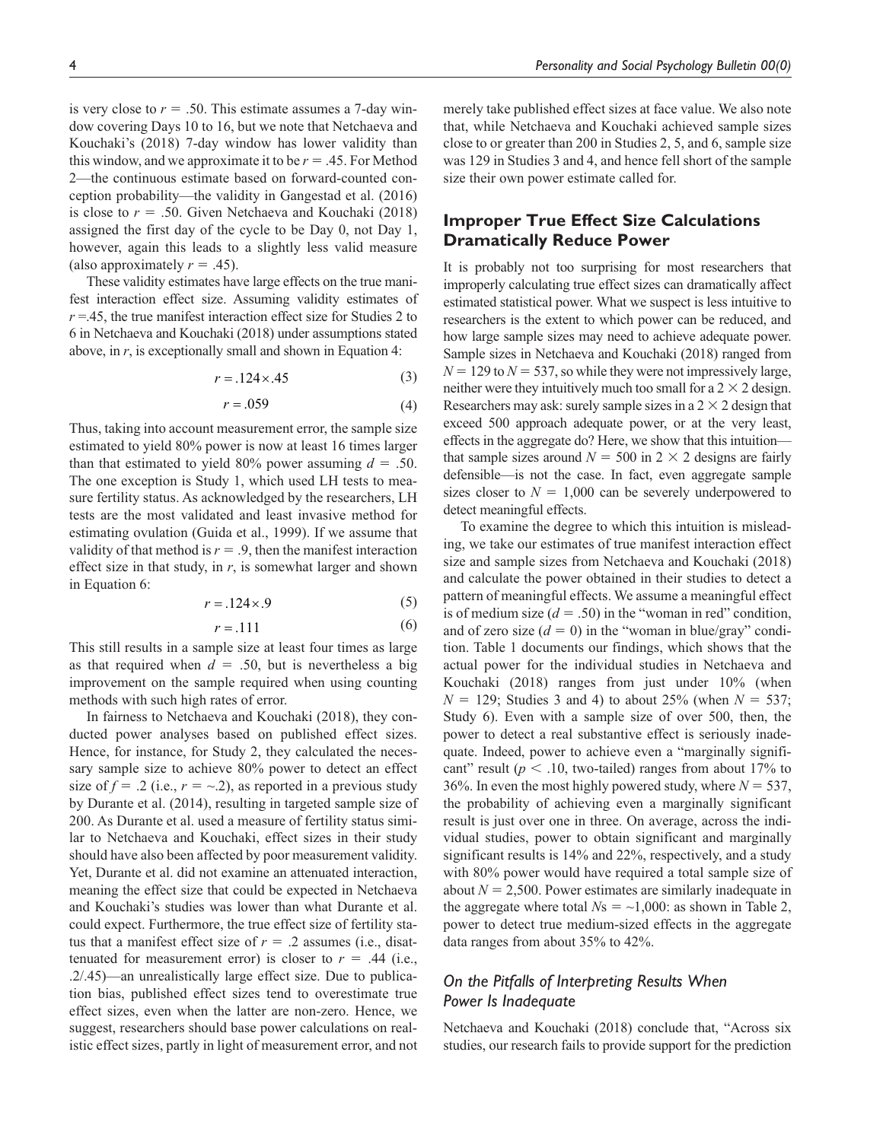is very close to  $r = .50$ . This estimate assumes a 7-day window covering Days 10 to 16, but we note that Netchaeva and Kouchaki's (2018) 7-day window has lower validity than this window, and we approximate it to be  $r = .45$ . For Method 2—the continuous estimate based on forward-counted conception probability—the validity in Gangestad et al. (2016) is close to  $r = .50$ . Given Netchaeva and Kouchaki (2018) assigned the first day of the cycle to be Day 0, not Day 1, however, again this leads to a slightly less valid measure (also approximately  $r = .45$ ).

These validity estimates have large effects on the true manifest interaction effect size. Assuming validity estimates of  $r = 0.45$ , the true manifest interaction effect size for Studies 2 to 6 in Netchaeva and Kouchaki (2018) under assumptions stated above, in *r*, is exceptionally small and shown in Equation 4:

$$
r = .124 \times .45\tag{3}
$$

$$
r = .059\tag{4}
$$

Thus, taking into account measurement error, the sample size estimated to yield 80% power is now at least 16 times larger than that estimated to yield 80% power assuming  $d = .50$ . The one exception is Study 1, which used LH tests to measure fertility status. As acknowledged by the researchers, LH tests are the most validated and least invasive method for estimating ovulation (Guida et al., 1999). If we assume that validity of that method is  $r = .9$ , then the manifest interaction effect size in that study, in *r*, is somewhat larger and shown in Equation 6:

$$
r = .124 \times .9 \tag{5}
$$

$$
r = .111\tag{6}
$$

This still results in a sample size at least four times as large as that required when  $d = .50$ , but is nevertheless a big improvement on the sample required when using counting methods with such high rates of error.

In fairness to Netchaeva and Kouchaki (2018), they conducted power analyses based on published effect sizes. Hence, for instance, for Study 2, they calculated the necessary sample size to achieve 80% power to detect an effect size of  $f = 0.2$  (i.e.,  $r = -0.2$ ), as reported in a previous study by Durante et al. (2014), resulting in targeted sample size of 200. As Durante et al. used a measure of fertility status similar to Netchaeva and Kouchaki, effect sizes in their study should have also been affected by poor measurement validity. Yet, Durante et al. did not examine an attenuated interaction, meaning the effect size that could be expected in Netchaeva and Kouchaki's studies was lower than what Durante et al. could expect. Furthermore, the true effect size of fertility status that a manifest effect size of  $r = .2$  assumes (i.e., disattenuated for measurement error) is closer to  $r = .44$  (i.e., .2/.45)—an unrealistically large effect size. Due to publication bias, published effect sizes tend to overestimate true effect sizes, even when the latter are non-zero. Hence, we suggest, researchers should base power calculations on realistic effect sizes, partly in light of measurement error, and not merely take published effect sizes at face value. We also note that, while Netchaeva and Kouchaki achieved sample sizes close to or greater than 200 in Studies 2, 5, and 6, sample size was 129 in Studies 3 and 4, and hence fell short of the sample size their own power estimate called for.

# **Improper True Effect Size Calculations Dramatically Reduce Power**

It is probably not too surprising for most researchers that improperly calculating true effect sizes can dramatically affect estimated statistical power. What we suspect is less intuitive to researchers is the extent to which power can be reduced, and how large sample sizes may need to achieve adequate power. Sample sizes in Netchaeva and Kouchaki (2018) ranged from  $N = 129$  to  $N = 537$ , so while they were not impressively large, neither were they intuitively much too small for a  $2 \times 2$  design. Researchers may ask: surely sample sizes in a  $2 \times 2$  design that exceed 500 approach adequate power, or at the very least, effects in the aggregate do? Here, we show that this intuition that sample sizes around  $N = 500$  in 2  $\times$  2 designs are fairly defensible—is not the case. In fact, even aggregate sample sizes closer to  $N = 1,000$  can be severely underpowered to detect meaningful effects.

To examine the degree to which this intuition is misleading, we take our estimates of true manifest interaction effect size and sample sizes from Netchaeva and Kouchaki (2018) and calculate the power obtained in their studies to detect a pattern of meaningful effects. We assume a meaningful effect is of medium size  $(d = .50)$  in the "woman in red" condition, and of zero size  $(d = 0)$  in the "woman in blue/gray" condition. Table 1 documents our findings, which shows that the actual power for the individual studies in Netchaeva and Kouchaki (2018) ranges from just under 10% (when *N* = 129; Studies 3 and 4) to about 25% (when *N* = 537; Study 6). Even with a sample size of over 500, then, the power to detect a real substantive effect is seriously inadequate. Indeed, power to achieve even a "marginally significant" result ( $p < .10$ , two-tailed) ranges from about 17% to 36%. In even the most highly powered study, where  $N = 537$ , the probability of achieving even a marginally significant result is just over one in three. On average, across the individual studies, power to obtain significant and marginally significant results is 14% and 22%, respectively, and a study with 80% power would have required a total sample size of about  $N = 2,500$ . Power estimates are similarly inadequate in the aggregate where total  $N_s = \sim 1,000$ : as shown in Table 2, power to detect true medium-sized effects in the aggregate data ranges from about 35% to 42%.

# *On the Pitfalls of Interpreting Results When Power Is Inadequate*

Netchaeva and Kouchaki (2018) conclude that, "Across six studies, our research fails to provide support for the prediction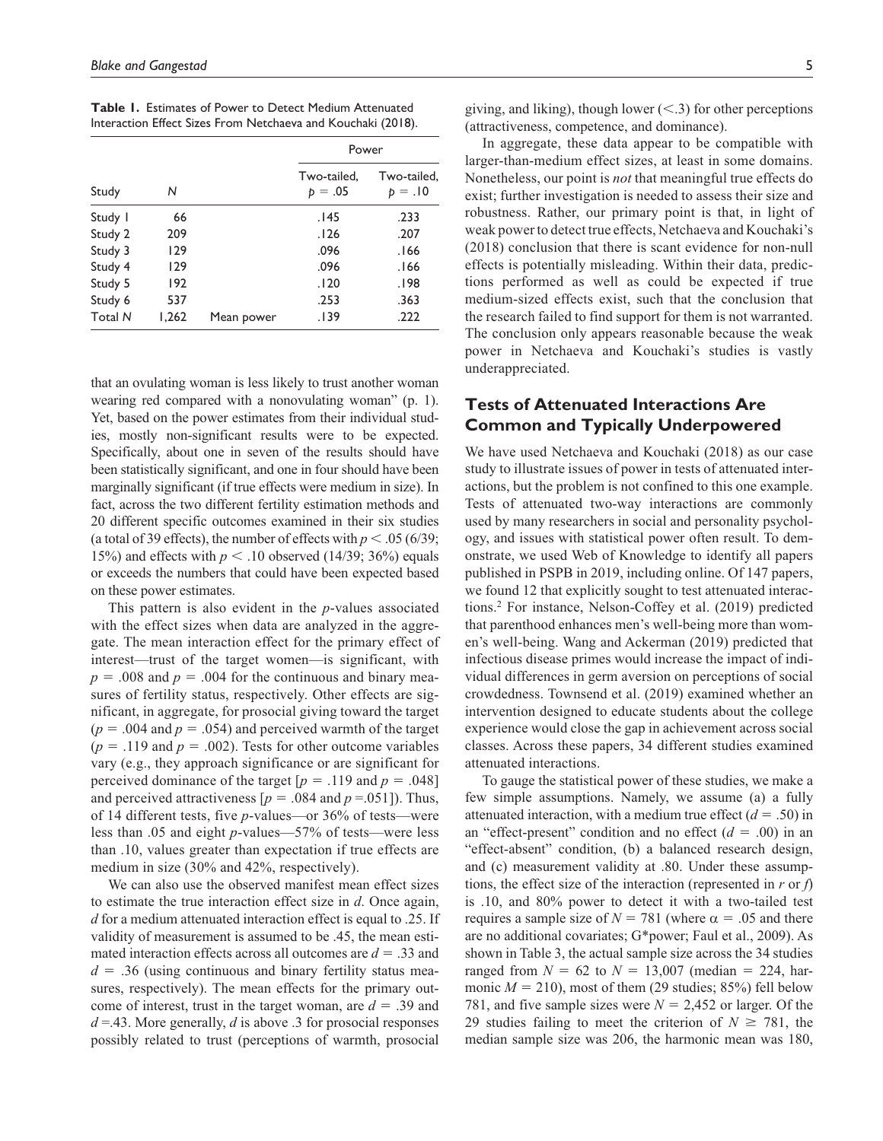**Table 1.** Estimates of Power to Detect Medium Attenuated Interaction Effect Sizes From Netchaeva and Kouchaki (2018).

|                |       |            | Power                    |                          |  |
|----------------|-------|------------|--------------------------|--------------------------|--|
| Study          | Ν     |            | Two-tailed,<br>$p = .05$ | Two-tailed,<br>$p = .10$ |  |
| Study I        | 66    |            | .145                     | .233                     |  |
| Study 2        | 209   |            | .126                     | .207                     |  |
| Study 3        | 129   |            | .096                     | 166.                     |  |
| Study 4        | 129   |            | .096                     | 166.                     |  |
| Study 5        | 192   |            | .120                     | .198                     |  |
| Study 6        | 537   |            | .253                     | .363                     |  |
| <b>Total N</b> | 1,262 | Mean power | .139                     | .222                     |  |

that an ovulating woman is less likely to trust another woman wearing red compared with a nonovulating woman" (p. 1). Yet, based on the power estimates from their individual studies, mostly non-significant results were to be expected. Specifically, about one in seven of the results should have been statistically significant, and one in four should have been marginally significant (if true effects were medium in size). In fact, across the two different fertility estimation methods and 20 different specific outcomes examined in their six studies (a total of 39 effects), the number of effects with  $p < .05$  (6/39; 15%) and effects with  $p < 0.10$  observed (14/39; 36%) equals or exceeds the numbers that could have been expected based on these power estimates.

This pattern is also evident in the *p*-values associated with the effect sizes when data are analyzed in the aggregate. The mean interaction effect for the primary effect of interest—trust of the target women—is significant, with  $p = 0.008$  and  $p = 0.004$  for the continuous and binary measures of fertility status, respectively. Other effects are significant, in aggregate, for prosocial giving toward the target  $(p = .004$  and  $p = .054$ ) and perceived warmth of the target  $(p = .119$  and  $p = .002$ ). Tests for other outcome variables vary (e.g., they approach significance or are significant for perceived dominance of the target  $[p = .119$  and  $p = .048]$ and perceived attractiveness  $[p = .084 \text{ and } p = .051]$ . Thus, of 14 different tests, five *p*-values—or 36% of tests—were less than .05 and eight *p*-values—57% of tests—were less than .10, values greater than expectation if true effects are medium in size (30% and 42%, respectively).

We can also use the observed manifest mean effect sizes to estimate the true interaction effect size in *d*. Once again, *d* for a medium attenuated interaction effect is equal to .25. If validity of measurement is assumed to be .45, the mean estimated interaction effects across all outcomes are *d* = .33 and  $d = 0.36$  (using continuous and binary fertility status measures, respectively). The mean effects for the primary outcome of interest, trust in the target woman, are *d* = .39 and  $d = 0.43$ . More generally, *d* is above .3 for prosocial responses possibly related to trust (perceptions of warmth, prosocial

giving, and liking), though lower  $\leq$  3) for other perceptions (attractiveness, competence, and dominance).

In aggregate, these data appear to be compatible with larger-than-medium effect sizes, at least in some domains. Nonetheless, our point is *not* that meaningful true effects do exist; further investigation is needed to assess their size and robustness. Rather, our primary point is that, in light of weak power to detect true effects, Netchaeva and Kouchaki's (2018) conclusion that there is scant evidence for non-null effects is potentially misleading. Within their data, predictions performed as well as could be expected if true medium-sized effects exist, such that the conclusion that the research failed to find support for them is not warranted. The conclusion only appears reasonable because the weak power in Netchaeva and Kouchaki's studies is vastly underappreciated.

# **Tests of Attenuated Interactions Are Common and Typically Underpowered**

We have used Netchaeva and Kouchaki (2018) as our case study to illustrate issues of power in tests of attenuated interactions, but the problem is not confined to this one example. Tests of attenuated two-way interactions are commonly used by many researchers in social and personality psychology, and issues with statistical power often result. To demonstrate, we used Web of Knowledge to identify all papers published in PSPB in 2019, including online. Of 147 papers, we found 12 that explicitly sought to test attenuated interactions.2 For instance, Nelson-Coffey et al. (2019) predicted that parenthood enhances men's well-being more than women's well-being. Wang and Ackerman (2019) predicted that infectious disease primes would increase the impact of individual differences in germ aversion on perceptions of social crowdedness. Townsend et al. (2019) examined whether an intervention designed to educate students about the college experience would close the gap in achievement across social classes. Across these papers, 34 different studies examined attenuated interactions.

To gauge the statistical power of these studies, we make a few simple assumptions. Namely, we assume (a) a fully attenuated interaction, with a medium true effect  $(d = .50)$  in an "effect-present" condition and no effect  $(d = .00)$  in an "effect-absent" condition, (b) a balanced research design, and (c) measurement validity at .80. Under these assumptions, the effect size of the interaction (represented in *r* or *f*) is .10, and 80% power to detect it with a two-tailed test requires a sample size of  $N = 781$  (where  $\alpha = .05$  and there are no additional covariates; G\*power; Faul et al., 2009). As shown in Table 3, the actual sample size across the 34 studies ranged from  $N = 62$  to  $N = 13,007$  (median = 224, harmonic  $M = 210$ , most of them (29 studies; 85%) fell below 781, and five sample sizes were  $N = 2,452$  or larger. Of the 29 studies failing to meet the criterion of  $N \ge 781$ , the median sample size was 206, the harmonic mean was 180,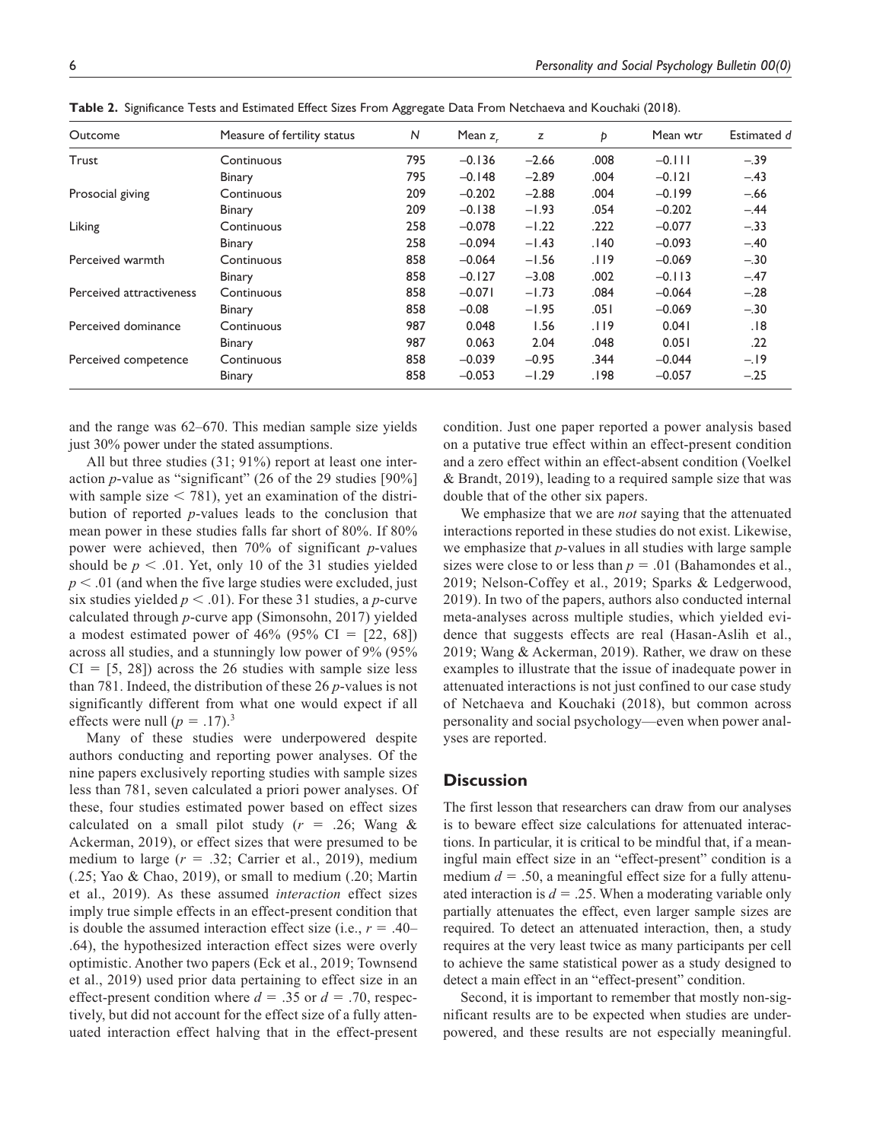| Outcome                  | Measure of fertility status | N   | Mean $zr$ | z       | Þ    | Mean wtr | Estimated d |
|--------------------------|-----------------------------|-----|-----------|---------|------|----------|-------------|
| Trust                    | Continuous                  | 795 | $-0.136$  | $-2.66$ | .008 | $-0.111$ | $-.39$      |
|                          | Binary                      | 795 | $-0.148$  | $-2.89$ | .004 | $-0.121$ | $-.43$      |
| Prosocial giving         | Continuous                  | 209 | $-0.202$  | $-2.88$ | .004 | $-0.199$ | $-.66$      |
|                          | Binary                      | 209 | $-0.138$  | $-1.93$ | .054 | $-0.202$ | $-.44$      |
| Liking                   | Continuous                  | 258 | $-0.078$  | $-1.22$ | .222 | $-0.077$ | $-.33$      |
|                          | Binary                      | 258 | $-0.094$  | $-1.43$ | .140 | $-0.093$ | $-.40$      |
| Perceived warmth         | Continuous                  | 858 | $-0.064$  | $-1.56$ | .119 | $-0.069$ | $-.30$      |
|                          | Binary                      | 858 | $-0.127$  | $-3.08$ | .002 | $-0.113$ | $-.47$      |
| Perceived attractiveness | Continuous                  | 858 | $-0.071$  | $-1.73$ | .084 | $-0.064$ | $-.28$      |
|                          | Binary                      | 858 | $-0.08$   | $-1.95$ | .051 | $-0.069$ | $-.30$      |
| Perceived dominance      | Continuous                  | 987 | 0.048     | 1.56    | .119 | 0.041    | .18         |
|                          | Binary                      | 987 | 0.063     | 2.04    | .048 | 0.051    | .22         |
| Perceived competence     | Continuous                  | 858 | $-0.039$  | $-0.95$ | .344 | $-0.044$ | $-.19$      |
|                          | Binary                      | 858 | $-0.053$  | $-1.29$ | .198 | $-0.057$ | $-.25$      |

**Table 2.** Significance Tests and Estimated Effect Sizes From Aggregate Data From Netchaeva and Kouchaki (2018).

and the range was 62–670. This median sample size yields just 30% power under the stated assumptions.

All but three studies (31; 91%) report at least one interaction *p*-value as "significant" (26 of the 29 studies [90%] with sample size  $\leq$  781), yet an examination of the distribution of reported *p*-values leads to the conclusion that mean power in these studies falls far short of 80%. If 80% power were achieved, then 70% of significant *p*-values should be  $p < 0.01$ . Yet, only 10 of the 31 studies yielded  $p < .01$  (and when the five large studies were excluded, just six studies yielded *p* < .01). For these 31 studies, a *p*-curve calculated through *p*-curve app (Simonsohn, 2017) yielded a modest estimated power of 46% (95% CI =  $[22, 68]$ ) across all studies, and a stunningly low power of 9% (95%  $CI = [5, 28]$  across the 26 studies with sample size less than 781. Indeed, the distribution of these 26 *p*-values is not significantly different from what one would expect if all effects were null  $(p = .17).$ <sup>3</sup>

Many of these studies were underpowered despite authors conducting and reporting power analyses. Of the nine papers exclusively reporting studies with sample sizes less than 781, seven calculated a priori power analyses. Of these, four studies estimated power based on effect sizes calculated on a small pilot study  $(r = .26;$  Wang & Ackerman, 2019), or effect sizes that were presumed to be medium to large (*r* = .32; Carrier et al., 2019), medium (.25; Yao & Chao, 2019), or small to medium (.20; Martin et al., 2019). As these assumed *interaction* effect sizes imply true simple effects in an effect-present condition that is double the assumed interaction effect size (i.e.,  $r = .40-$ .64), the hypothesized interaction effect sizes were overly optimistic. Another two papers (Eck et al., 2019; Townsend et al., 2019) used prior data pertaining to effect size in an effect-present condition where  $d = .35$  or  $d = .70$ , respectively, but did not account for the effect size of a fully attenuated interaction effect halving that in the effect-present

condition. Just one paper reported a power analysis based on a putative true effect within an effect-present condition and a zero effect within an effect-absent condition (Voelkel & Brandt, 2019), leading to a required sample size that was double that of the other six papers.

We emphasize that we are *not* saying that the attenuated interactions reported in these studies do not exist. Likewise, we emphasize that *p*-values in all studies with large sample sizes were close to or less than  $p = .01$  (Bahamondes et al., 2019; Nelson-Coffey et al., 2019; Sparks & Ledgerwood, 2019). In two of the papers, authors also conducted internal meta-analyses across multiple studies, which yielded evidence that suggests effects are real (Hasan-Aslih et al., 2019; Wang & Ackerman, 2019). Rather, we draw on these examples to illustrate that the issue of inadequate power in attenuated interactions is not just confined to our case study of Netchaeva and Kouchaki (2018), but common across personality and social psychology—even when power analyses are reported.

### **Discussion**

The first lesson that researchers can draw from our analyses is to beware effect size calculations for attenuated interactions. In particular, it is critical to be mindful that, if a meaningful main effect size in an "effect-present" condition is a medium  $d = .50$ , a meaningful effect size for a fully attenuated interaction is  $d = 0.25$ . When a moderating variable only partially attenuates the effect, even larger sample sizes are required. To detect an attenuated interaction, then, a study requires at the very least twice as many participants per cell to achieve the same statistical power as a study designed to detect a main effect in an "effect-present" condition.

Second, it is important to remember that mostly non-significant results are to be expected when studies are underpowered, and these results are not especially meaningful.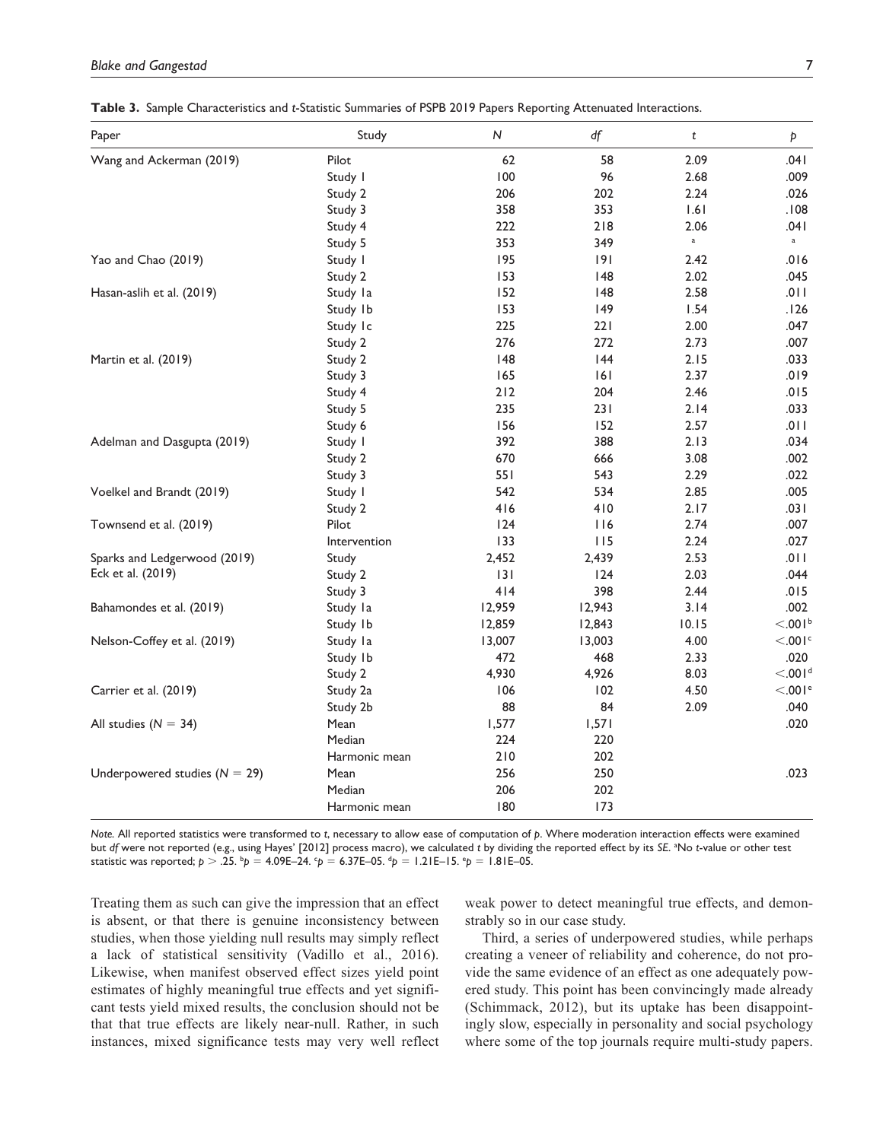| Paper                             | Study         | ${\sf N}$ | df          | t           | Þ                     |
|-----------------------------------|---------------|-----------|-------------|-------------|-----------------------|
| Wang and Ackerman (2019)          | Pilot         | 62        | 58          | 2.09        | .041                  |
|                                   | Study I       | 100       | 96          | 2.68        | .009                  |
|                                   | Study 2       | 206       | 202         | 2.24        | .026                  |
|                                   | Study 3       | 358       | 353         | 1.61        | .108                  |
|                                   | Study 4       | 222       | 218         | 2.06        | .041                  |
|                                   | Study 5       | 353       | 349         | $\mathsf a$ | $\mathbf{a}$          |
| Yao and Chao (2019)               | Study I       | 195       | 9           | 2.42        | .016                  |
|                                   | Study 2       | 153       | 148         | 2.02        | .045                  |
| Hasan-aslih et al. (2019)         | Study la      | 152       | 148         | 2.58        | .011                  |
|                                   | Study Ib      | 153       | 149         | 1.54        | 126.                  |
|                                   | Study Ic      | 225       | 221         | 2.00        | .047                  |
|                                   | Study 2       | 276       | 272         | 2.73        | .007                  |
| Martin et al. (2019)              | Study 2       | 48        | 144         | 2.15        | .033                  |
|                                   | Study 3       | 165       | 161         | 2.37        | .019                  |
|                                   | Study 4       | $212$     | 204         | 2.46        | .015                  |
|                                   | Study 5       | 235       | 231         | 2.14        | .033                  |
|                                   | Study 6       | 156       | 152         | 2.57        | 110.                  |
| Adelman and Dasgupta (2019)       | Study I       | 392       | 388         | 2.13        | .034                  |
|                                   | Study 2       | 670       | 666         | 3.08        | .002                  |
|                                   | Study 3       | 551       | 543         | 2.29        | .022                  |
| Voelkel and Brandt (2019)         | Study I       | 542       | 534         | 2.85        | .005                  |
|                                   | Study 2       | 416       | 410         | 2.17        | .031                  |
| Townsend et al. (2019)            | Pilot         | 124       | <u> 116</u> | 2.74        | .007                  |
|                                   | Intervention  | 133       | 115         | 2.24        | .027                  |
| Sparks and Ledgerwood (2019)      | Study         | 2,452     | 2,439       | 2.53        | .011                  |
| Eck et al. (2019)                 | Study 2       | 3         | 124         | 2.03        | .044                  |
|                                   | Study 3       | 414       | 398         | 2.44        | .015                  |
| Bahamondes et al. (2019)          | Study la      | 12,959    | 12,943      | 3.14        | .002                  |
|                                   | Study Ib      | 12,859    | 12,843      | 10.15       | < 0.01 <sup>b</sup>   |
| Nelson-Coffey et al. (2019)       | Study la      | 13,007    | 13,003      | 4.00        | $< 0.001$ c           |
|                                   | Study Ib      | 472       | 468         | 2.33        | .020                  |
|                                   | Study 2       | 4,930     | 4,926       | 8.03        | < 0.001 <sup>d</sup>  |
| Carrier et al. (2019)             | Study 2a      | 106       | 102         | 4.50        | $< 0.01$ <sup>e</sup> |
|                                   | Study 2b      | 88        | 84          | 2.09        | .040                  |
| All studies ( $N = 34$ )          | Mean          | 1,577     | 1,571       |             | .020                  |
|                                   | Median        | 224       | 220         |             |                       |
|                                   | Harmonic mean | 210       | 202         |             |                       |
| Underpowered studies ( $N = 29$ ) | Mean          | 256       | 250         |             | .023                  |
|                                   | Median        | 206       | 202         |             |                       |
|                                   | Harmonic mean | 180       | 173         |             |                       |

**Table 3.** Sample Characteristics and *t*-Statistic Summaries of PSPB 2019 Papers Reporting Attenuated Interactions.

*Note.* All reported statistics were transformed to *t*, necessary to allow ease of computation of *p*. Where moderation interaction effects were examined but *df* were not reported (e.g., using Hayes' [2012] process macro), we calculated *t* by dividing the reported effect by its *SE*. a No *t*-value or other test statistic was reported;  $p > .25$ .  $^bp = 4.09E-24$ .  $^cp = 6.37E-05$ .  $^dp = 1.21E-15$ .  $^ep = 1.81E-05$ .

Treating them as such can give the impression that an effect is absent, or that there is genuine inconsistency between studies, when those yielding null results may simply reflect a lack of statistical sensitivity (Vadillo et al., 2016). Likewise, when manifest observed effect sizes yield point estimates of highly meaningful true effects and yet significant tests yield mixed results, the conclusion should not be that that true effects are likely near-null. Rather, in such instances, mixed significance tests may very well reflect

weak power to detect meaningful true effects, and demonstrably so in our case study.

Third, a series of underpowered studies, while perhaps creating a veneer of reliability and coherence, do not provide the same evidence of an effect as one adequately powered study. This point has been convincingly made already (Schimmack, 2012), but its uptake has been disappointingly slow, especially in personality and social psychology where some of the top journals require multi-study papers.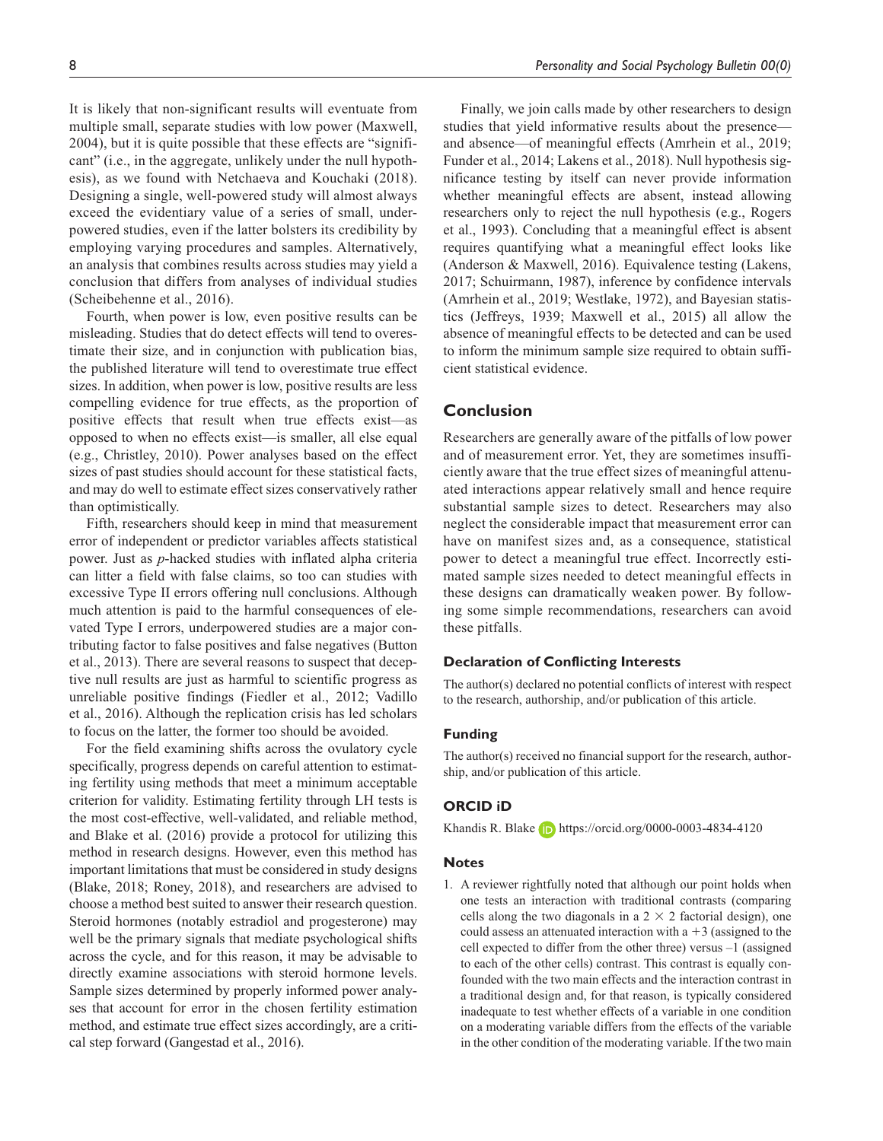It is likely that non-significant results will eventuate from multiple small, separate studies with low power (Maxwell, 2004), but it is quite possible that these effects are "significant" (i.e., in the aggregate, unlikely under the null hypothesis), as we found with Netchaeva and Kouchaki (2018). Designing a single, well-powered study will almost always exceed the evidentiary value of a series of small, underpowered studies, even if the latter bolsters its credibility by employing varying procedures and samples. Alternatively, an analysis that combines results across studies may yield a conclusion that differs from analyses of individual studies (Scheibehenne et al., 2016).

Fourth, when power is low, even positive results can be misleading. Studies that do detect effects will tend to overestimate their size, and in conjunction with publication bias, the published literature will tend to overestimate true effect sizes. In addition, when power is low, positive results are less compelling evidence for true effects, as the proportion of positive effects that result when true effects exist—as opposed to when no effects exist—is smaller, all else equal (e.g., Christley, 2010). Power analyses based on the effect sizes of past studies should account for these statistical facts, and may do well to estimate effect sizes conservatively rather than optimistically.

Fifth, researchers should keep in mind that measurement error of independent or predictor variables affects statistical power. Just as *p*-hacked studies with inflated alpha criteria can litter a field with false claims, so too can studies with excessive Type II errors offering null conclusions. Although much attention is paid to the harmful consequences of elevated Type I errors, underpowered studies are a major contributing factor to false positives and false negatives (Button et al., 2013). There are several reasons to suspect that deceptive null results are just as harmful to scientific progress as unreliable positive findings (Fiedler et al., 2012; Vadillo et al., 2016). Although the replication crisis has led scholars to focus on the latter, the former too should be avoided.

For the field examining shifts across the ovulatory cycle specifically, progress depends on careful attention to estimating fertility using methods that meet a minimum acceptable criterion for validity. Estimating fertility through LH tests is the most cost-effective, well-validated, and reliable method, and Blake et al. (2016) provide a protocol for utilizing this method in research designs. However, even this method has important limitations that must be considered in study designs (Blake, 2018; Roney, 2018), and researchers are advised to choose a method best suited to answer their research question. Steroid hormones (notably estradiol and progesterone) may well be the primary signals that mediate psychological shifts across the cycle, and for this reason, it may be advisable to directly examine associations with steroid hormone levels. Sample sizes determined by properly informed power analyses that account for error in the chosen fertility estimation method, and estimate true effect sizes accordingly, are a critical step forward (Gangestad et al., 2016).

Finally, we join calls made by other researchers to design studies that yield informative results about the presence and absence—of meaningful effects (Amrhein et al., 2019; Funder et al., 2014; Lakens et al., 2018). Null hypothesis significance testing by itself can never provide information whether meaningful effects are absent, instead allowing researchers only to reject the null hypothesis (e.g., Rogers et al., 1993). Concluding that a meaningful effect is absent requires quantifying what a meaningful effect looks like (Anderson & Maxwell, 2016). Equivalence testing (Lakens, 2017; Schuirmann, 1987), inference by confidence intervals (Amrhein et al., 2019; Westlake, 1972), and Bayesian statistics (Jeffreys, 1939; Maxwell et al., 2015) all allow the absence of meaningful effects to be detected and can be used to inform the minimum sample size required to obtain sufficient statistical evidence.

### **Conclusion**

Researchers are generally aware of the pitfalls of low power and of measurement error. Yet, they are sometimes insufficiently aware that the true effect sizes of meaningful attenuated interactions appear relatively small and hence require substantial sample sizes to detect. Researchers may also neglect the considerable impact that measurement error can have on manifest sizes and, as a consequence, statistical power to detect a meaningful true effect. Incorrectly estimated sample sizes needed to detect meaningful effects in these designs can dramatically weaken power. By following some simple recommendations, researchers can avoid these pitfalls.

#### **Declaration of Conflicting Interests**

The author(s) declared no potential conflicts of interest with respect to the research, authorship, and/or publication of this article.

### **Funding**

The author(s) received no financial support for the research, authorship, and/or publication of this article.

### **ORCID iD**

Khandis R. Blake **h**ttps://orcid.org/0000-0003-4834-4120

#### **Notes**

1. A reviewer rightfully noted that although our point holds when one tests an interaction with traditional contrasts (comparing cells along the two diagonals in a  $2 \times 2$  factorial design), one could assess an attenuated interaction with  $a + 3$  (assigned to the cell expected to differ from the other three) versus –1 (assigned to each of the other cells) contrast. This contrast is equally confounded with the two main effects and the interaction contrast in a traditional design and, for that reason, is typically considered inadequate to test whether effects of a variable in one condition on a moderating variable differs from the effects of the variable in the other condition of the moderating variable. If the two main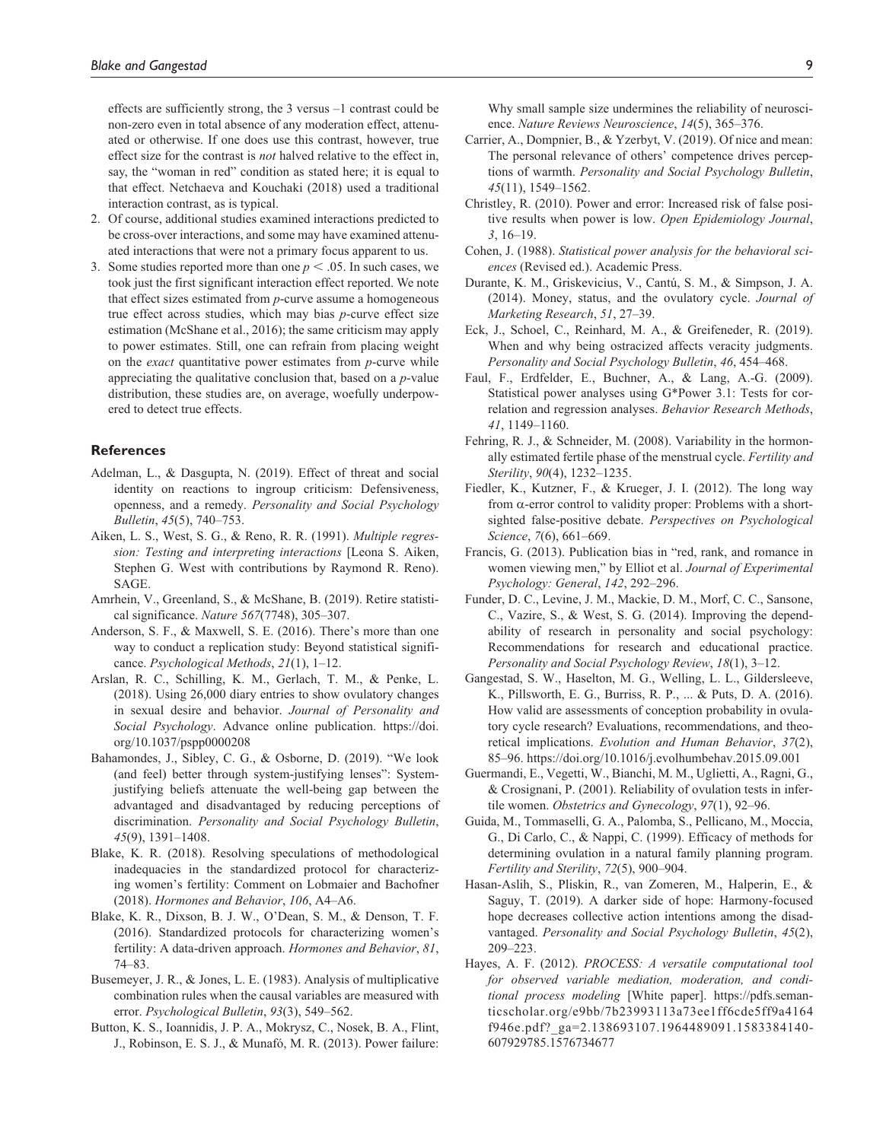effects are sufficiently strong, the 3 versus –1 contrast could be non-zero even in total absence of any moderation effect, attenuated or otherwise. If one does use this contrast, however, true effect size for the contrast is *not* halved relative to the effect in, say, the "woman in red" condition as stated here; it is equal to that effect. Netchaeva and Kouchaki (2018) used a traditional interaction contrast, as is typical.

- 2. Of course, additional studies examined interactions predicted to be cross-over interactions, and some may have examined attenuated interactions that were not a primary focus apparent to us.
- 3. Some studies reported more than one  $p < .05$ . In such cases, we took just the first significant interaction effect reported. We note that effect sizes estimated from *p*-curve assume a homogeneous true effect across studies, which may bias *p*-curve effect size estimation (McShane et al., 2016); the same criticism may apply to power estimates. Still, one can refrain from placing weight on the *exact* quantitative power estimates from *p*-curve while appreciating the qualitative conclusion that, based on a *p*-value distribution, these studies are, on average, woefully underpowered to detect true effects.

#### **References**

- Adelman, L., & Dasgupta, N. (2019). Effect of threat and social identity on reactions to ingroup criticism: Defensiveness, openness, and a remedy. *Personality and Social Psychology Bulletin*, *45*(5), 740–753.
- Aiken, L. S., West, S. G., & Reno, R. R. (1991). *Multiple regression: Testing and interpreting interactions* [Leona S. Aiken, Stephen G. West with contributions by Raymond R. Reno). SAGE.
- Amrhein, V., Greenland, S., & McShane, B. (2019). Retire statistical significance. *Nature 567*(7748), 305–307.
- Anderson, S. F., & Maxwell, S. E. (2016). There's more than one way to conduct a replication study: Beyond statistical significance. *Psychological Methods*, *21*(1), 1–12.
- Arslan, R. C., Schilling, K. M., Gerlach, T. M., & Penke, L. (2018). Using 26,000 diary entries to show ovulatory changes in sexual desire and behavior. *Journal of Personality and Social Psychology*. Advance online publication. [https://doi.](https://doi.org/10.1037/pspp0000208) [org/10.1037/pspp0000208](https://doi.org/10.1037/pspp0000208)
- Bahamondes, J., Sibley, C. G., & Osborne, D. (2019). "We look (and feel) better through system-justifying lenses": Systemjustifying beliefs attenuate the well-being gap between the advantaged and disadvantaged by reducing perceptions of discrimination. *Personality and Social Psychology Bulletin*, *45*(9), 1391–1408.
- Blake, K. R. (2018). Resolving speculations of methodological inadequacies in the standardized protocol for characterizing women's fertility: Comment on Lobmaier and Bachofner (2018). *Hormones and Behavior*, *106*, A4–A6.
- Blake, K. R., Dixson, B. J. W., O'Dean, S. M., & Denson, T. F. (2016). Standardized protocols for characterizing women's fertility: A data-driven approach. *Hormones and Behavior*, *81*, 74–83.
- Busemeyer, J. R., & Jones, L. E. (1983). Analysis of multiplicative combination rules when the causal variables are measured with error. *Psychological Bulletin*, *93*(3), 549–562.
- Button, K. S., Ioannidis, J. P. A., Mokrysz, C., Nosek, B. A., Flint, J., Robinson, E. S. J., & Munafó, M. R. (2013). Power failure:

Why small sample size undermines the reliability of neuroscience. *Nature Reviews Neuroscience*, *14*(5), 365–376.

- Carrier, A., Dompnier, B., & Yzerbyt, V. (2019). Of nice and mean: The personal relevance of others' competence drives perceptions of warmth. *Personality and Social Psychology Bulletin*, *45*(11), 1549–1562.
- Christley, R. (2010). Power and error: Increased risk of false positive results when power is low. *Open Epidemiology Journal*, *3*, 16–19.
- Cohen, J. (1988). *Statistical power analysis for the behavioral sciences* (Revised ed.). Academic Press.
- Durante, K. M., Griskevicius, V., Cantú, S. M., & Simpson, J. A. (2014). Money, status, and the ovulatory cycle. *Journal of Marketing Research*, *51*, 27–39.
- Eck, J., Schoel, C., Reinhard, M. A., & Greifeneder, R. (2019). When and why being ostracized affects veracity judgments. *Personality and Social Psychology Bulletin*, *46*, 454–468.
- Faul, F., Erdfelder, E., Buchner, A., & Lang, A.-G. (2009). Statistical power analyses using G\*Power 3.1: Tests for correlation and regression analyses. *Behavior Research Methods*, *41*, 1149–1160.
- Fehring, R. J., & Schneider, M. (2008). Variability in the hormonally estimated fertile phase of the menstrual cycle. *Fertility and Sterility*, *90*(4), 1232–1235.
- Fiedler, K., Kutzner, F., & Krueger, J. I. (2012). The long way from α-error control to validity proper: Problems with a shortsighted false-positive debate. *Perspectives on Psychological Science*, *7*(6), 661–669.
- Francis, G. (2013). Publication bias in "red, rank, and romance in women viewing men," by Elliot et al. *Journal of Experimental Psychology: General*, *142*, 292–296.
- Funder, D. C., Levine, J. M., Mackie, D. M., Morf, C. C., Sansone, C., Vazire, S., & West, S. G. (2014). Improving the dependability of research in personality and social psychology: Recommendations for research and educational practice. *Personality and Social Psychology Review*, *18*(1), 3–12.
- Gangestad, S. W., Haselton, M. G., Welling, L. L., Gildersleeve, K., Pillsworth, E. G., Burriss, R. P., ... & Puts, D. A. (2016). How valid are assessments of conception probability in ovulatory cycle research? Evaluations, recommendations, and theoretical implications. *Evolution and Human Behavior*, *37*(2), 85–96. https://doi.org/10.1016/j.evolhumbehav.2015.09.001
- Guermandi, E., Vegetti, W., Bianchi, M. M., Uglietti, A., Ragni, G., & Crosignani, P. (2001). Reliability of ovulation tests in infertile women. *Obstetrics and Gynecology*, *97*(1), 92–96.
- Guida, M., Tommaselli, G. A., Palomba, S., Pellicano, M., Moccia, G., Di Carlo, C., & Nappi, C. (1999). Efficacy of methods for determining ovulation in a natural family planning program. *Fertility and Sterility*, *72*(5), 900–904.
- Hasan-Aslih, S., Pliskin, R., van Zomeren, M., Halperin, E., & Saguy, T. (2019). A darker side of hope: Harmony-focused hope decreases collective action intentions among the disadvantaged. *Personality and Social Psychology Bulletin*, *45*(2), 209–223.
- Hayes, A. F. (2012). *PROCESS: A versatile computational tool for observed variable mediation, moderation, and conditional process modeling* [White paper]. [https://pdfs.seman](https://pdfs.semanticscholar.org/e9bb/7b23993113a73ee1ff6cde5ff9a4164f946e.pdf?_ga=2.138693107.1964489091.1583384140-607929785.1576734677)[ticscholar.org/e9bb/7b23993113a73ee1ff6cde5ff9a4164](https://pdfs.semanticscholar.org/e9bb/7b23993113a73ee1ff6cde5ff9a4164f946e.pdf?_ga=2.138693107.1964489091.1583384140-607929785.1576734677) [f946e.pdf?\\_ga=2.138693107.1964489091.1583384140-](https://pdfs.semanticscholar.org/e9bb/7b23993113a73ee1ff6cde5ff9a4164f946e.pdf?_ga=2.138693107.1964489091.1583384140-607929785.1576734677) [607929785.1576734677](https://pdfs.semanticscholar.org/e9bb/7b23993113a73ee1ff6cde5ff9a4164f946e.pdf?_ga=2.138693107.1964489091.1583384140-607929785.1576734677)